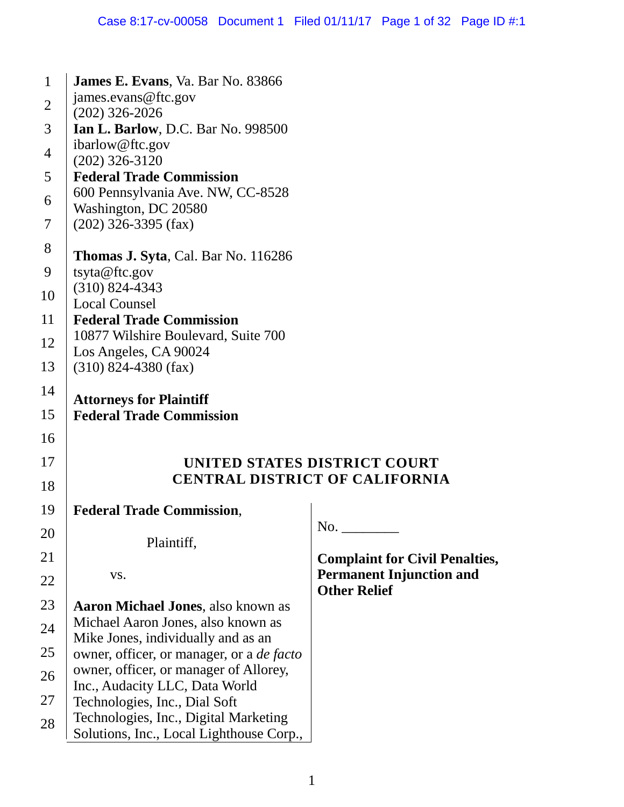| $\mathbf{1}$   | James E. Evans, Va. Bar No. 83866                                                                                                                                                        |                                                                          |  |  |
|----------------|------------------------------------------------------------------------------------------------------------------------------------------------------------------------------------------|--------------------------------------------------------------------------|--|--|
| $\mathfrak{2}$ | james.evans@ftc.gov                                                                                                                                                                      |                                                                          |  |  |
|                | $(202)$ 326-2026                                                                                                                                                                         |                                                                          |  |  |
| 3              | Ian L. Barlow, D.C. Bar No. 998500<br>ibarlow@ftc.gov                                                                                                                                    |                                                                          |  |  |
| $\overline{4}$ | $(202)$ 326-3120                                                                                                                                                                         |                                                                          |  |  |
| 5              | <b>Federal Trade Commission</b>                                                                                                                                                          |                                                                          |  |  |
| 6              | 600 Pennsylvania Ave. NW, CC-8528                                                                                                                                                        |                                                                          |  |  |
| 7              | Washington, DC 20580<br>$(202)$ 326-3395 (fax)                                                                                                                                           |                                                                          |  |  |
|                |                                                                                                                                                                                          |                                                                          |  |  |
| 8              | Thomas J. Syta, Cal. Bar No. 116286                                                                                                                                                      |                                                                          |  |  |
| 9              | tsyta@ftc.gov<br>$(310) 824 - 4343$<br><b>Local Counsel</b><br><b>Federal Trade Commission</b><br>10877 Wilshire Boulevard, Suite 700<br>Los Angeles, CA 90024<br>$(310)$ 824-4380 (fax) |                                                                          |  |  |
| 10             |                                                                                                                                                                                          |                                                                          |  |  |
| 11             |                                                                                                                                                                                          |                                                                          |  |  |
|                |                                                                                                                                                                                          |                                                                          |  |  |
| 12             |                                                                                                                                                                                          |                                                                          |  |  |
| 13             |                                                                                                                                                                                          |                                                                          |  |  |
| 14             |                                                                                                                                                                                          |                                                                          |  |  |
| 15             | <b>Attorneys for Plaintiff</b><br><b>Federal Trade Commission</b>                                                                                                                        |                                                                          |  |  |
|                |                                                                                                                                                                                          |                                                                          |  |  |
| 16             |                                                                                                                                                                                          |                                                                          |  |  |
| 17             |                                                                                                                                                                                          | UNITED STATES DISTRICT COURT                                             |  |  |
| 18             |                                                                                                                                                                                          | <b>CENTRAL DISTRICT OF CALIFORNIA</b>                                    |  |  |
| 19             | <b>Federal Trade Commission,</b>                                                                                                                                                         |                                                                          |  |  |
| 20             |                                                                                                                                                                                          | No.                                                                      |  |  |
| 21             | Plaintiff,                                                                                                                                                                               |                                                                          |  |  |
|                | VS.                                                                                                                                                                                      | <b>Complaint for Civil Penalties,</b><br><b>Permanent Injunction and</b> |  |  |
| 22             |                                                                                                                                                                                          | <b>Other Relief</b>                                                      |  |  |
| 23             | <b>Aaron Michael Jones</b> , also known as                                                                                                                                               |                                                                          |  |  |
| 24             | Michael Aaron Jones, also known as                                                                                                                                                       |                                                                          |  |  |
| 25             | Mike Jones, individually and as an<br>owner, officer, or manager, or a <i>de facto</i>                                                                                                   |                                                                          |  |  |
|                | owner, officer, or manager of Allorey,                                                                                                                                                   |                                                                          |  |  |
| 26             | Inc., Audacity LLC, Data World                                                                                                                                                           |                                                                          |  |  |
| 27             | Technologies, Inc., Dial Soft                                                                                                                                                            |                                                                          |  |  |
| 28             | Technologies, Inc., Digital Marketing<br>Solutions, Inc., Local Lighthouse Corp.,                                                                                                        |                                                                          |  |  |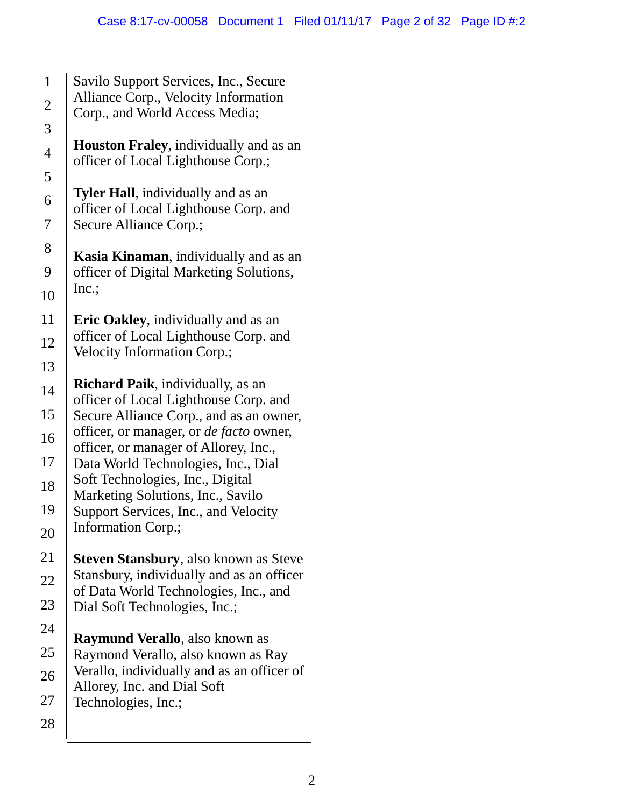Savilo Support Services, Inc., Secure Alliance Corp., Velocity Information

**Houston Fraley**, individually and as an

**Kasia Kinaman**, individually and as an officer of Digital Marketing Solutions,

**Eric Oakley**, individually and as an officer of Local Lighthouse Corp. and

**Richard Paik**, individually, as an officer of Local Lighthouse Corp. and Secure Alliance Corp., and as an owner, officer, or manager, or *de facto* owner, officer, or manager of Allorey, Inc., Data World Technologies, Inc., Dial

Soft Technologies, Inc., Digital Marketing Solutions, Inc., Savilo Support Services, Inc., and Velocity

Dial Soft Technologies, Inc.;

Allorey, Inc. and Dial Soft

Technologies, Inc.;

**Raymund Verallo**, also known as Raymond Verallo, also known as Ray Verallo, individually and as an officer of

**Steven Stansbury**, also known as Steve Stansbury, individually and as an officer of Data World Technologies, Inc., and

Information Corp.;

Velocity Information Corp.;

Corp., and World Access Media;

officer of Local Lighthouse Corp.;

**Tyler Hall**, individually and as an officer of Local Lighthouse Corp. and

Secure Alliance Corp.;

| $\mathbf 1$           |
|-----------------------|
| $\overline{c}$        |
| 3                     |
| $\overline{4}$        |
| 5                     |
| 6                     |
| $\overline{7}$        |
| 8                     |
| 9                     |
| 10                    |
| <sup>11</sup>         |
| 12                    |
| 13                    |
| 14                    |
| 15                    |
| 16                    |
| 17                    |
| 18                    |
| 19                    |
|                       |
| 21                    |
| $\sum_{i=1}^{n}$<br>າ |
| $^{23}$               |
| 24                    |
| 25                    |
| 26                    |
| 27                    |
| 28                    |

Inc.;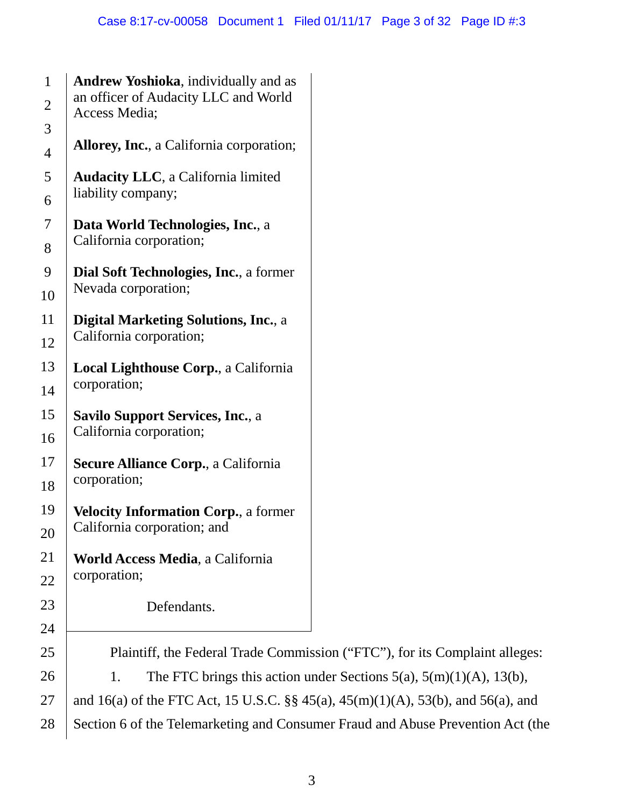#### Case 8:17-cv-00058 Document 1 Filed 01/11/17 Page 3 of 32 Page ID #:3

| $\mathbf{1}$             |  |  |  |  |
|--------------------------|--|--|--|--|
| $\overline{c}$           |  |  |  |  |
| 3                        |  |  |  |  |
| $\overline{\mathcal{A}}$ |  |  |  |  |
| 5                        |  |  |  |  |
| 6                        |  |  |  |  |
| $\overline{7}$           |  |  |  |  |
| 8                        |  |  |  |  |
| 9                        |  |  |  |  |
| 10                       |  |  |  |  |
| 11                       |  |  |  |  |
| 12                       |  |  |  |  |
| 13                       |  |  |  |  |
| 14                       |  |  |  |  |
| 15                       |  |  |  |  |
| 16                       |  |  |  |  |
| 17                       |  |  |  |  |
| 18                       |  |  |  |  |
| 19                       |  |  |  |  |
| $\dot{20}$               |  |  |  |  |
| 21                       |  |  |  |  |
| $2^{\prime}$             |  |  |  |  |
| $\mathbf{3}$             |  |  |  |  |
| $\sum_{i=1}^{n}$<br>4    |  |  |  |  |
| Σ.<br>5                  |  |  |  |  |
| 26                       |  |  |  |  |
| 27                       |  |  |  |  |

| an officer of Audacity LLC and World<br>Access Media;                              |                                                                             |
|------------------------------------------------------------------------------------|-----------------------------------------------------------------------------|
| <b>Allorey, Inc., a California corporation;</b>                                    |                                                                             |
| <b>Audacity LLC</b> , a California limited<br>liability company;                   |                                                                             |
| Data World Technologies, Inc., a<br>California corporation;                        |                                                                             |
| Dial Soft Technologies, Inc., a former<br>Nevada corporation;                      |                                                                             |
| <b>Digital Marketing Solutions, Inc., a</b><br>California corporation;             |                                                                             |
| Local Lighthouse Corp., a California<br>corporation;                               |                                                                             |
| <b>Savilo Support Services, Inc., a</b><br>California corporation;                 |                                                                             |
| <b>Secure Alliance Corp., a California</b><br>corporation;                         |                                                                             |
| <b>Velocity Information Corp., a former</b><br>California corporation; and         |                                                                             |
| <b>World Access Media, a California</b><br>corporation;                            |                                                                             |
| Defendants.                                                                        |                                                                             |
|                                                                                    | Plaintiff, the Federal Trade Commission ("FTC"), for its Complaint alleges  |
| 1.                                                                                 | The FTC brings this action under Sections $5(a)$ , $5(m)(1)(A)$ , $13(b)$ , |
| and 16(a) of the FTC Act, 15 U.S.C. $\S$ 45(a), 45(m)(1)(A), 53(b), and 56(a), and |                                                                             |

**Andrew Yoshioka**, individually and as

28 Section 6 of the Telemarketing and Consumer Fraud and Abuse Prevention Act (the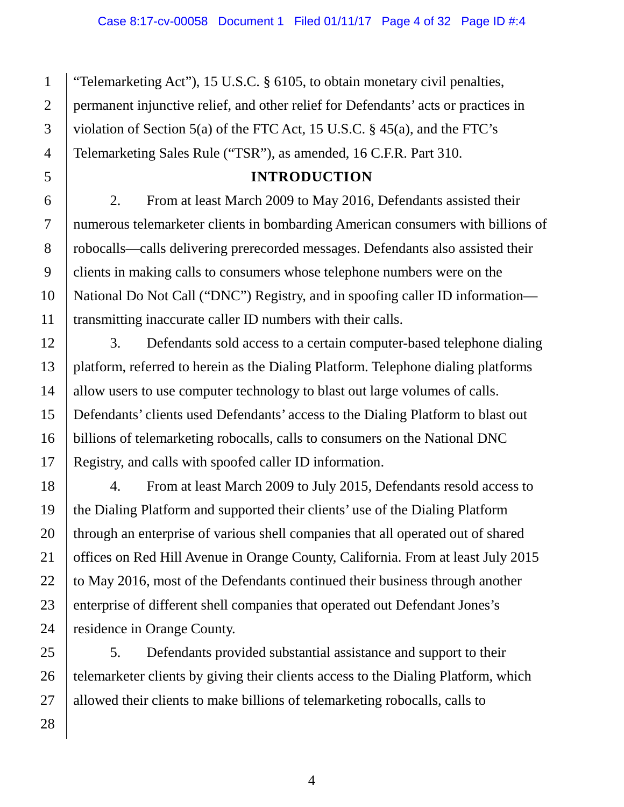"Telemarketing Act"), 15 U.S.C. § 6105, to obtain monetary civil penalties, permanent injunctive relief, and other relief for Defendants' acts or practices in violation of Section 5(a) of the FTC Act, 15 U.S.C. § 45(a), and the FTC's Telemarketing Sales Rule ("TSR"), as amended, 16 C.F.R. Part 310.

## **INTRODUCTION**

2. From at least March 2009 to May 2016, Defendants assisted their numerous telemarketer clients in bombarding American consumers with billions of robocalls—calls delivering prerecorded messages. Defendants also assisted their clients in making calls to consumers whose telephone numbers were on the National Do Not Call ("DNC") Registry, and in spoofing caller ID information transmitting inaccurate caller ID numbers with their calls.

3. Defendants sold access to a certain computer-based telephone dialing platform, referred to herein as the Dialing Platform. Telephone dialing platforms allow users to use computer technology to blast out large volumes of calls. Defendants' clients used Defendants' access to the Dialing Platform to blast out billions of telemarketing robocalls, calls to consumers on the National DNC Registry, and calls with spoofed caller ID information.

4. From at least March 2009 to July 2015, Defendants resold access to the Dialing Platform and supported their clients' use of the Dialing Platform through an enterprise of various shell companies that all operated out of shared offices on Red Hill Avenue in Orange County, California. From at least July 2015 to May 2016, most of the Defendants continued their business through another enterprise of different shell companies that operated out Defendant Jones's residence in Orange County.

28 5. Defendants provided substantial assistance and support to their telemarketer clients by giving their clients access to the Dialing Platform, which allowed their clients to make billions of telemarketing robocalls, calls to

1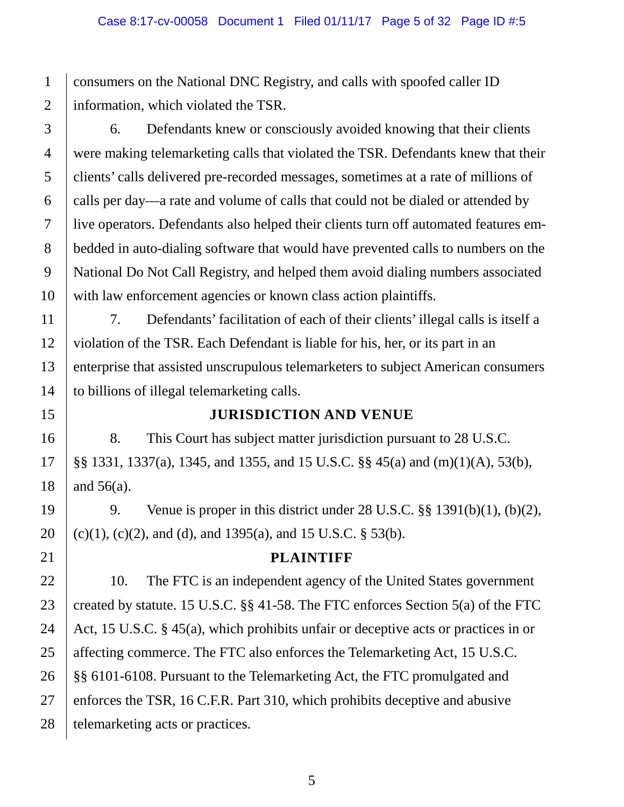consumers on the National DNC Registry, and calls with spoofed caller ID information, which violated the TSR.

6. Defendants knew or consciously avoided knowing that their clients were making telemarketing calls that violated the TSR. Defendants knew that their clients' calls delivered pre-recorded messages, sometimes at a rate of millions of calls per day—a rate and volume of calls that could not be dialed or attended by live operators. Defendants also helped their clients turn off automated features embedded in auto-dialing software that would have prevented calls to numbers on the National Do Not Call Registry, and helped them avoid dialing numbers associated with law enforcement agencies or known class action plaintiffs.

7. Defendants' facilitation of each of their clients' illegal calls is itself a violation of the TSR. Each Defendant is liable for his, her, or its part in an enterprise that assisted unscrupulous telemarketers to subject American consumers to billions of illegal telemarketing calls.

## **JURISDICTION AND VENUE**

8. This Court has subject matter jurisdiction pursuant to 28 U.S.C. §§ 1331, 1337(a), 1345, and 1355, and 15 U.S.C. §§ 45(a) and (m)(1)(A), 53(b), and 56(a).

9. Venue is proper in this district under 28 U.S.C. §§ 1391(b)(1), (b)(2),  $(c)(1)$ ,  $(c)(2)$ , and  $(d)$ , and 1395(a), and 15 U.S.C. § 53(b).

#### **PLAINTIFF**

10. The FTC is an independent agency of the United States government created by statute. 15 U.S.C. §§ 41-58. The FTC enforces Section 5(a) of the FTC Act, 15 U.S.C. § 45(a), which prohibits unfair or deceptive acts or practices in or affecting commerce. The FTC also enforces the Telemarketing Act, 15 U.S.C. §§ 6101-6108. Pursuant to the Telemarketing Act, the FTC promulgated and enforces the TSR, 16 C.F.R. Part 310, which prohibits deceptive and abusive telemarketing acts or practices.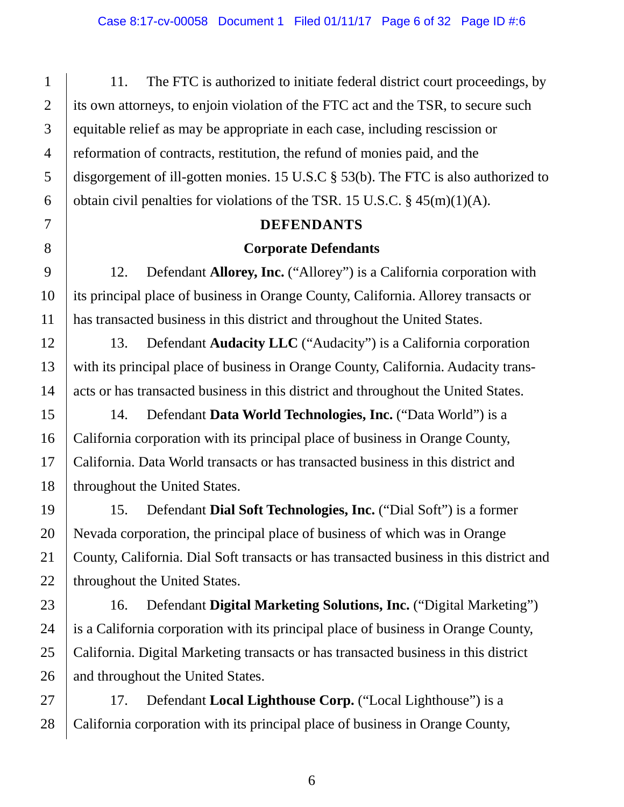11. The FTC is authorized to initiate federal district court proceedings, by its own attorneys, to enjoin violation of the FTC act and the TSR, to secure such equitable relief as may be appropriate in each case, including rescission or reformation of contracts, restitution, the refund of monies paid, and the disgorgement of ill-gotten monies. 15 U.S.C § 53(b). The FTC is also authorized to obtain civil penalties for violations of the TSR. 15 U.S.C.  $\S$  45(m)(1)(A).

#### **DEFENDANTS**

#### **Corporate Defendants**

12. Defendant **Allorey, Inc.** ("Allorey") is a California corporation with its principal place of business in Orange County, California. Allorey transacts or has transacted business in this district and throughout the United States.

13. Defendant **Audacity LLC** ("Audacity") is a California corporation with its principal place of business in Orange County, California. Audacity transacts or has transacted business in this district and throughout the United States.

14. Defendant **Data World Technologies, Inc.** ("Data World") is a California corporation with its principal place of business in Orange County, California. Data World transacts or has transacted business in this district and throughout the United States.

15. Defendant **Dial Soft Technologies, Inc.** ("Dial Soft") is a former Nevada corporation, the principal place of business of which was in Orange County, California. Dial Soft transacts or has transacted business in this district and throughout the United States.

16. Defendant **Digital Marketing Solutions, Inc.** ("Digital Marketing") is a California corporation with its principal place of business in Orange County, California. Digital Marketing transacts or has transacted business in this district and throughout the United States.

17. Defendant **Local Lighthouse Corp.** ("Local Lighthouse") is a California corporation with its principal place of business in Orange County,

1

2

3

4

5

6

7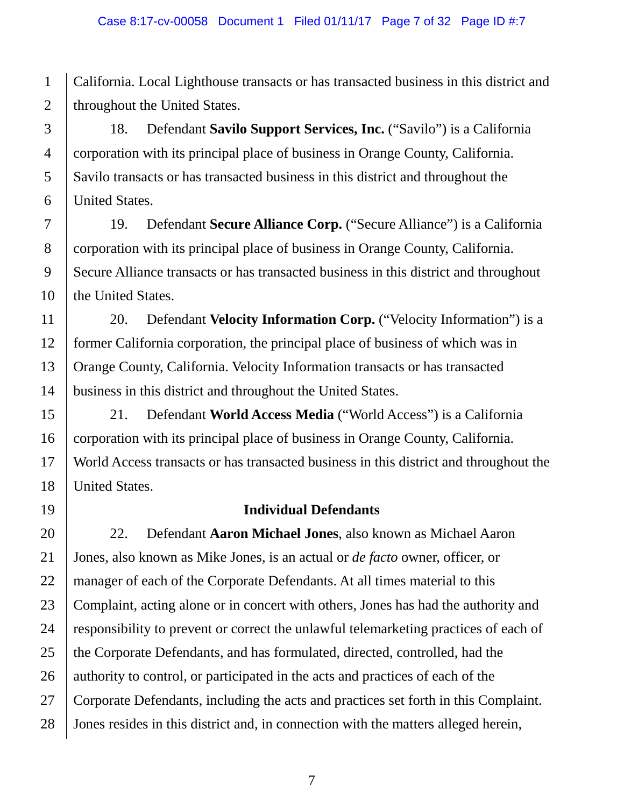1 2 California. Local Lighthouse transacts or has transacted business in this district and throughout the United States.

3 4 5 6 18. Defendant **Savilo Support Services, Inc.** ("Savilo") is a California corporation with its principal place of business in Orange County, California. Savilo transacts or has transacted business in this district and throughout the United States.

8 9 10 19. Defendant **Secure Alliance Corp.** ("Secure Alliance") is a California corporation with its principal place of business in Orange County, California. Secure Alliance transacts or has transacted business in this district and throughout the United States.

11 12 13 14 20. Defendant **Velocity Information Corp.** ("Velocity Information") is a former California corporation, the principal place of business of which was in Orange County, California. Velocity Information transacts or has transacted business in this district and throughout the United States.

15 16 17 18 21. Defendant **World Access Media** ("World Access") is a California corporation with its principal place of business in Orange County, California. World Access transacts or has transacted business in this district and throughout the United States.

19

7

## **Individual Defendants**

20 21 22 23 24 25 26 27 28 22. Defendant **Aaron Michael Jones**, also known as Michael Aaron Jones, also known as Mike Jones, is an actual or *de facto* owner, officer, or manager of each of the Corporate Defendants. At all times material to this Complaint, acting alone or in concert with others, Jones has had the authority and responsibility to prevent or correct the unlawful telemarketing practices of each of the Corporate Defendants, and has formulated, directed, controlled, had the authority to control, or participated in the acts and practices of each of the Corporate Defendants, including the acts and practices set forth in this Complaint. Jones resides in this district and, in connection with the matters alleged herein,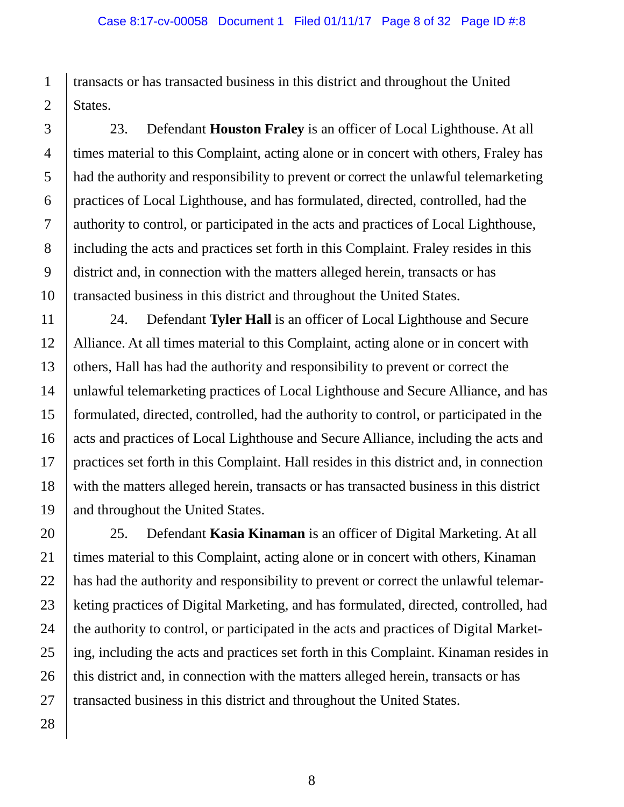transacts or has transacted business in this district and throughout the United States.

23. Defendant **Houston Fraley** is an officer of Local Lighthouse. At all times material to this Complaint, acting alone or in concert with others, Fraley has had the authority and responsibility to prevent or correct the unlawful telemarketing practices of Local Lighthouse, and has formulated, directed, controlled, had the authority to control, or participated in the acts and practices of Local Lighthouse, including the acts and practices set forth in this Complaint. Fraley resides in this district and, in connection with the matters alleged herein, transacts or has transacted business in this district and throughout the United States.

24. Defendant **Tyler Hall** is an officer of Local Lighthouse and Secure Alliance. At all times material to this Complaint, acting alone or in concert with others, Hall has had the authority and responsibility to prevent or correct the unlawful telemarketing practices of Local Lighthouse and Secure Alliance, and has formulated, directed, controlled, had the authority to control, or participated in the acts and practices of Local Lighthouse and Secure Alliance, including the acts and practices set forth in this Complaint. Hall resides in this district and, in connection with the matters alleged herein, transacts or has transacted business in this district and throughout the United States.

25. Defendant **Kasia Kinaman** is an officer of Digital Marketing. At all times material to this Complaint, acting alone or in concert with others, Kinaman has had the authority and responsibility to prevent or correct the unlawful telemarketing practices of Digital Marketing, and has formulated, directed, controlled, had the authority to control, or participated in the acts and practices of Digital Marketing, including the acts and practices set forth in this Complaint. Kinaman resides in this district and, in connection with the matters alleged herein, transacts or has transacted business in this district and throughout the United States.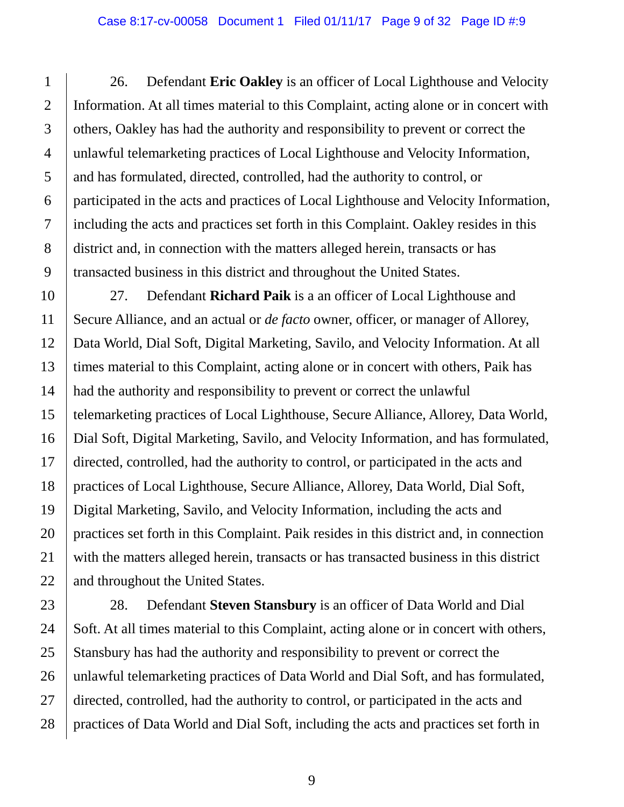26. Defendant **Eric Oakley** is an officer of Local Lighthouse and Velocity Information. At all times material to this Complaint, acting alone or in concert with others, Oakley has had the authority and responsibility to prevent or correct the unlawful telemarketing practices of Local Lighthouse and Velocity Information, and has formulated, directed, controlled, had the authority to control, or participated in the acts and practices of Local Lighthouse and Velocity Information, including the acts and practices set forth in this Complaint. Oakley resides in this district and, in connection with the matters alleged herein, transacts or has transacted business in this district and throughout the United States.

10 11 12 13 14 15 16 17 18 19 20 21 22 27. Defendant **Richard Paik** is a an officer of Local Lighthouse and Secure Alliance, and an actual or *de facto* owner, officer, or manager of Allorey, Data World, Dial Soft, Digital Marketing, Savilo, and Velocity Information. At all times material to this Complaint, acting alone or in concert with others, Paik has had the authority and responsibility to prevent or correct the unlawful telemarketing practices of Local Lighthouse, Secure Alliance, Allorey, Data World, Dial Soft, Digital Marketing, Savilo, and Velocity Information, and has formulated, directed, controlled, had the authority to control, or participated in the acts and practices of Local Lighthouse, Secure Alliance, Allorey, Data World, Dial Soft, Digital Marketing, Savilo, and Velocity Information, including the acts and practices set forth in this Complaint. Paik resides in this district and, in connection with the matters alleged herein, transacts or has transacted business in this district and throughout the United States.

23 24 25 26 27 28 28. Defendant **Steven Stansbury** is an officer of Data World and Dial Soft. At all times material to this Complaint, acting alone or in concert with others, Stansbury has had the authority and responsibility to prevent or correct the unlawful telemarketing practices of Data World and Dial Soft, and has formulated, directed, controlled, had the authority to control, or participated in the acts and practices of Data World and Dial Soft, including the acts and practices set forth in

1

2

3

4

5

6

7

8

9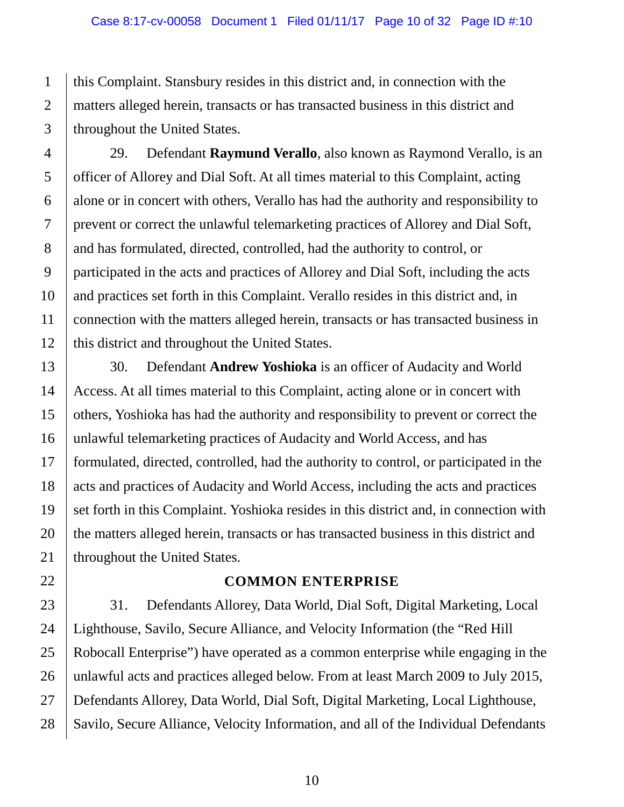this Complaint. Stansbury resides in this district and, in connection with the matters alleged herein, transacts or has transacted business in this district and throughout the United States.

29. Defendant **Raymund Verallo**, also known as Raymond Verallo, is an officer of Allorey and Dial Soft. At all times material to this Complaint, acting alone or in concert with others, Verallo has had the authority and responsibility to prevent or correct the unlawful telemarketing practices of Allorey and Dial Soft, and has formulated, directed, controlled, had the authority to control, or participated in the acts and practices of Allorey and Dial Soft, including the acts and practices set forth in this Complaint. Verallo resides in this district and, in connection with the matters alleged herein, transacts or has transacted business in this district and throughout the United States.

30. Defendant **Andrew Yoshioka** is an officer of Audacity and World Access. At all times material to this Complaint, acting alone or in concert with others, Yoshioka has had the authority and responsibility to prevent or correct the unlawful telemarketing practices of Audacity and World Access, and has formulated, directed, controlled, had the authority to control, or participated in the acts and practices of Audacity and World Access, including the acts and practices set forth in this Complaint. Yoshioka resides in this district and, in connection with the matters alleged herein, transacts or has transacted business in this district and throughout the United States.

#### **COMMON ENTERPRISE**

31. Defendants Allorey, Data World, Dial Soft, Digital Marketing, Local Lighthouse, Savilo, Secure Alliance, and Velocity Information (the "Red Hill Robocall Enterprise") have operated as a common enterprise while engaging in the unlawful acts and practices alleged below. From at least March 2009 to July 2015, Defendants Allorey, Data World, Dial Soft, Digital Marketing, Local Lighthouse, Savilo, Secure Alliance, Velocity Information, and all of the Individual Defendants

1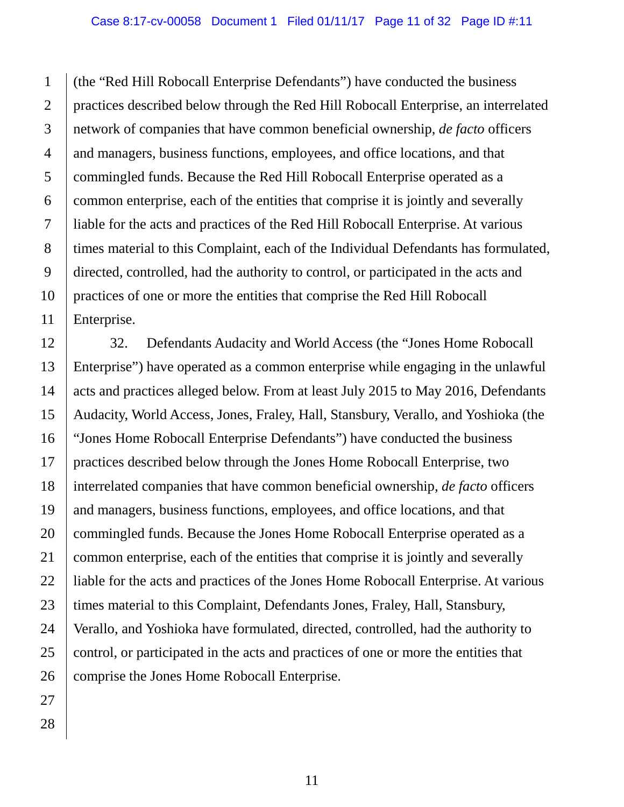1 (the "Red Hill Robocall Enterprise Defendants") have conducted the business practices described below through the Red Hill Robocall Enterprise, an interrelated network of companies that have common beneficial ownership, *de facto* officers and managers, business functions, employees, and office locations, and that commingled funds. Because the Red Hill Robocall Enterprise operated as a common enterprise, each of the entities that comprise it is jointly and severally liable for the acts and practices of the Red Hill Robocall Enterprise. At various times material to this Complaint, each of the Individual Defendants has formulated, directed, controlled, had the authority to control, or participated in the acts and practices of one or more the entities that comprise the Red Hill Robocall Enterprise.

32. Defendants Audacity and World Access (the "Jones Home Robocall Enterprise") have operated as a common enterprise while engaging in the unlawful acts and practices alleged below. From at least July 2015 to May 2016, Defendants Audacity, World Access, Jones, Fraley, Hall, Stansbury, Verallo, and Yoshioka (the "Jones Home Robocall Enterprise Defendants") have conducted the business practices described below through the Jones Home Robocall Enterprise, two interrelated companies that have common beneficial ownership, *de facto* officers and managers, business functions, employees, and office locations, and that commingled funds. Because the Jones Home Robocall Enterprise operated as a common enterprise, each of the entities that comprise it is jointly and severally liable for the acts and practices of the Jones Home Robocall Enterprise. At various times material to this Complaint, Defendants Jones, Fraley, Hall, Stansbury, Verallo, and Yoshioka have formulated, directed, controlled, had the authority to control, or participated in the acts and practices of one or more the entities that comprise the Jones Home Robocall Enterprise.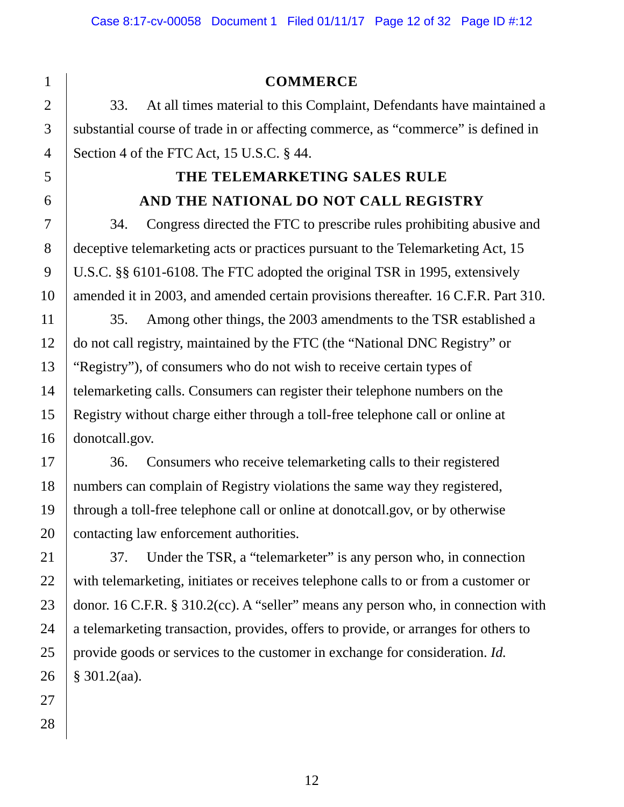#### **COMMERCE**

33. At all times material to this Complaint, Defendants have maintained a substantial course of trade in or affecting commerce, as "commerce" is defined in Section 4 of the FTC Act, 15 U.S.C. § 44.

# **THE TELEMARKETING SALES RULE AND THE NATIONAL DO NOT CALL REGISTRY**

34. Congress directed the FTC to prescribe rules prohibiting abusive and deceptive telemarketing acts or practices pursuant to the Telemarketing Act, 15 U.S.C. §§ 6101-6108. The FTC adopted the original TSR in 1995, extensively amended it in 2003, and amended certain provisions thereafter. 16 C.F.R. Part 310.

35. Among other things, the 2003 amendments to the TSR established a do not call registry, maintained by the FTC (the "National DNC Registry" or "Registry"), of consumers who do not wish to receive certain types of telemarketing calls. Consumers can register their telephone numbers on the Registry without charge either through a toll-free telephone call or online at donotcall.gov.

36. Consumers who receive telemarketing calls to their registered numbers can complain of Registry violations the same way they registered, through a toll-free telephone call or online at donotcall.gov, or by otherwise contacting law enforcement authorities.

37. Under the TSR, a "telemarketer" is any person who, in connection with telemarketing, initiates or receives telephone calls to or from a customer or donor. 16 C.F.R. § 310.2(cc). A "seller" means any person who, in connection with a telemarketing transaction, provides, offers to provide, or arranges for others to provide goods or services to the customer in exchange for consideration. *Id.* § 301.2(aa).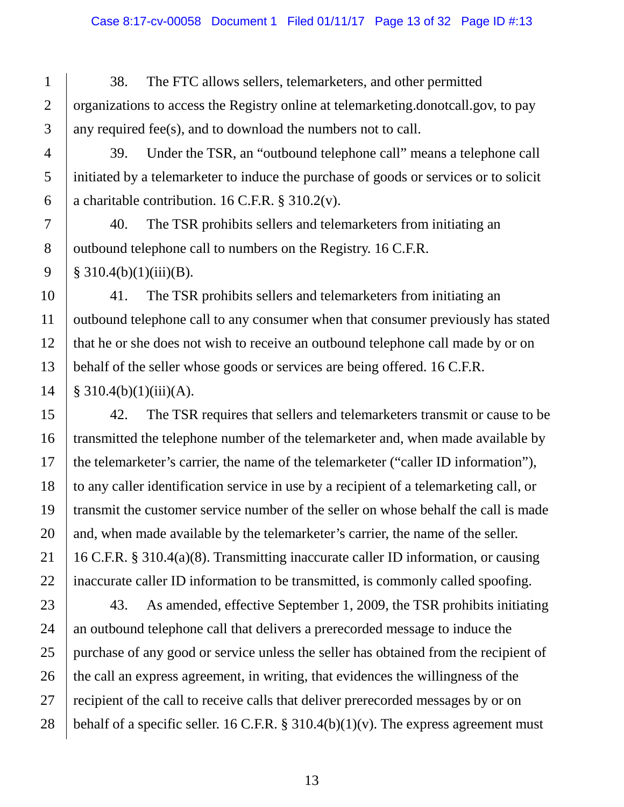38. The FTC allows sellers, telemarketers, and other permitted organizations to access the Registry online at telemarketing.donotcall.gov, to pay any required fee(s), and to download the numbers not to call.

39. Under the TSR, an "outbound telephone call" means a telephone call initiated by a telemarketer to induce the purchase of goods or services or to solicit a charitable contribution. 16 C.F.R. § 310.2(v).

40. The TSR prohibits sellers and telemarketers from initiating an outbound telephone call to numbers on the Registry. 16 C.F.R.  $$310.4(b)(1)(iii)(B).$ 

41. The TSR prohibits sellers and telemarketers from initiating an outbound telephone call to any consumer when that consumer previously has stated that he or she does not wish to receive an outbound telephone call made by or on behalf of the seller whose goods or services are being offered. 16 C.F.R.  $§ 310.4(b)(1)(iii)(A).$ 

42. The TSR requires that sellers and telemarketers transmit or cause to be transmitted the telephone number of the telemarketer and, when made available by the telemarketer's carrier, the name of the telemarketer ("caller ID information"), to any caller identification service in use by a recipient of a telemarketing call, or transmit the customer service number of the seller on whose behalf the call is made and, when made available by the telemarketer's carrier, the name of the seller. 16 C.F.R. § 310.4(a)(8). Transmitting inaccurate caller ID information, or causing inaccurate caller ID information to be transmitted, is commonly called spoofing.

43. As amended, effective September 1, 2009, the TSR prohibits initiating an outbound telephone call that delivers a prerecorded message to induce the purchase of any good or service unless the seller has obtained from the recipient of the call an express agreement, in writing, that evidences the willingness of the recipient of the call to receive calls that deliver prerecorded messages by or on behalf of a specific seller. 16 C.F.R.  $\S 310.4(b)(1)(v)$ . The express agreement must

1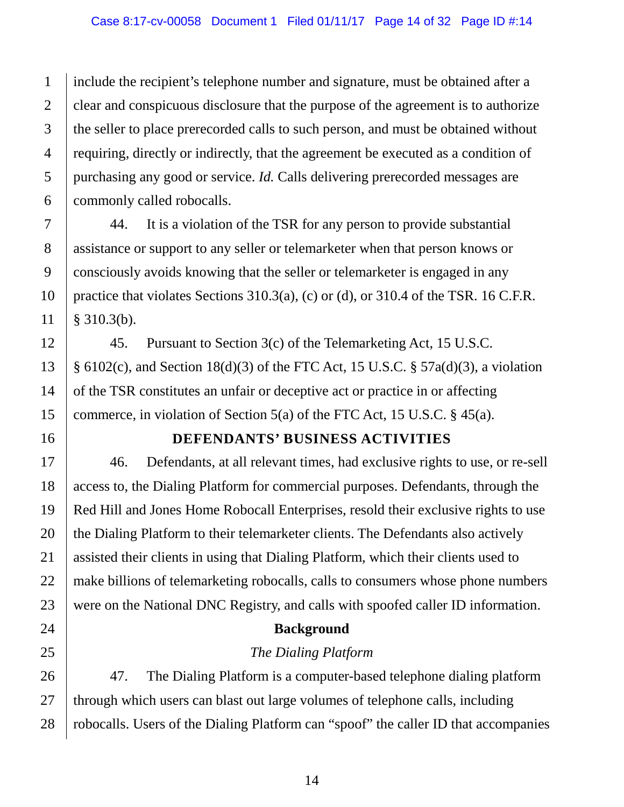include the recipient's telephone number and signature, must be obtained after a clear and conspicuous disclosure that the purpose of the agreement is to authorize the seller to place prerecorded calls to such person, and must be obtained without requiring, directly or indirectly, that the agreement be executed as a condition of purchasing any good or service. *Id.* Calls delivering prerecorded messages are commonly called robocalls.

44. It is a violation of the TSR for any person to provide substantial assistance or support to any seller or telemarketer when that person knows or consciously avoids knowing that the seller or telemarketer is engaged in any practice that violates Sections 310.3(a), (c) or (d), or 310.4 of the TSR. 16 C.F.R. § 310.3(b).

45. Pursuant to Section 3(c) of the Telemarketing Act, 15 U.S.C.  $\S$  6102(c), and Section 18(d)(3) of the FTC Act, 15 U.S.C.  $\S$  57a(d)(3), a violation of the TSR constitutes an unfair or deceptive act or practice in or affecting commerce, in violation of Section 5(a) of the FTC Act, 15 U.S.C. § 45(a).

16

1

2

3

4

5

6

7

8

9

10

11

12

13

14

15

17

18

19

20

21

22

23

24

25

26

27

28

#### **DEFENDANTS' BUSINESS ACTIVITIES**

46. Defendants, at all relevant times, had exclusive rights to use, or re-sell access to, the Dialing Platform for commercial purposes. Defendants, through the Red Hill and Jones Home Robocall Enterprises, resold their exclusive rights to use the Dialing Platform to their telemarketer clients. The Defendants also actively assisted their clients in using that Dialing Platform, which their clients used to make billions of telemarketing robocalls, calls to consumers whose phone numbers were on the National DNC Registry, and calls with spoofed caller ID information.

#### **Background**

#### *The Dialing Platform*

47. The Dialing Platform is a computer-based telephone dialing platform through which users can blast out large volumes of telephone calls, including robocalls. Users of the Dialing Platform can "spoof" the caller ID that accompanies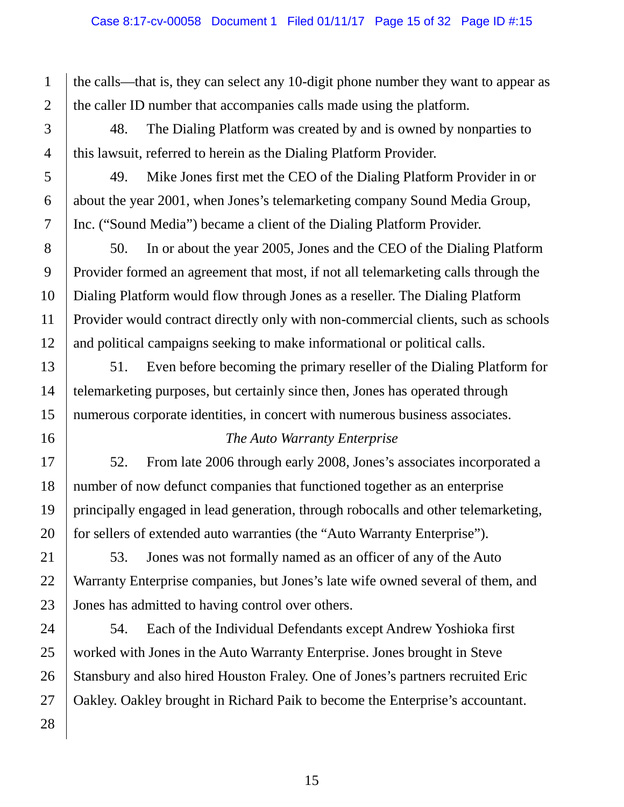the calls—that is, they can select any 10-digit phone number they want to appear as the caller ID number that accompanies calls made using the platform.

48. The Dialing Platform was created by and is owned by nonparties to this lawsuit, referred to herein as the Dialing Platform Provider.

49. Mike Jones first met the CEO of the Dialing Platform Provider in or about the year 2001, when Jones's telemarketing company Sound Media Group, Inc. ("Sound Media") became a client of the Dialing Platform Provider.

50. In or about the year 2005, Jones and the CEO of the Dialing Platform Provider formed an agreement that most, if not all telemarketing calls through the Dialing Platform would flow through Jones as a reseller. The Dialing Platform Provider would contract directly only with non-commercial clients, such as schools and political campaigns seeking to make informational or political calls.

51. Even before becoming the primary reseller of the Dialing Platform for telemarketing purposes, but certainly since then, Jones has operated through numerous corporate identities, in concert with numerous business associates.

## *The Auto Warranty Enterprise*

52. From late 2006 through early 2008, Jones's associates incorporated a number of now defunct companies that functioned together as an enterprise principally engaged in lead generation, through robocalls and other telemarketing, for sellers of extended auto warranties (the "Auto Warranty Enterprise").

53. Jones was not formally named as an officer of any of the Auto Warranty Enterprise companies, but Jones's late wife owned several of them, and Jones has admitted to having control over others.

54. Each of the Individual Defendants except Andrew Yoshioka first worked with Jones in the Auto Warranty Enterprise. Jones brought in Steve Stansbury and also hired Houston Fraley. One of Jones's partners recruited Eric Oakley. Oakley brought in Richard Paik to become the Enterprise's accountant.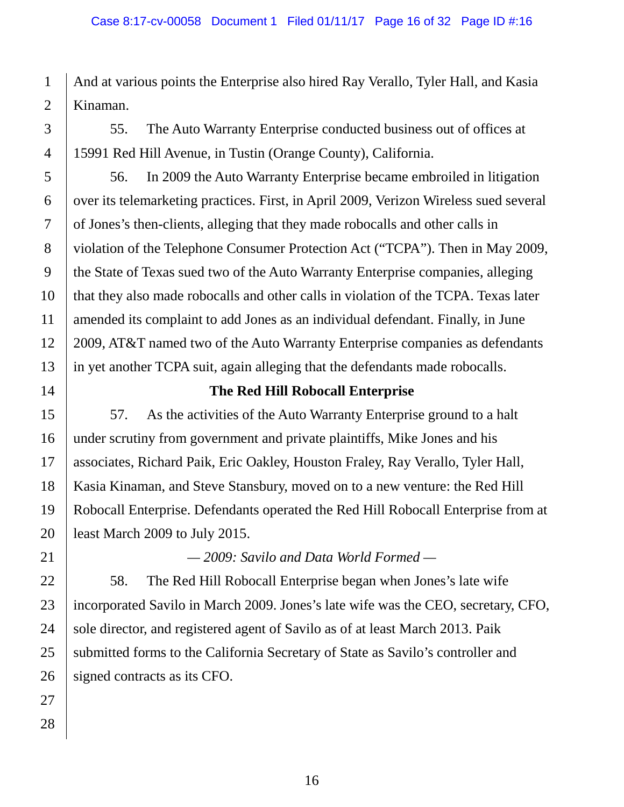And at various points the Enterprise also hired Ray Verallo, Tyler Hall, and Kasia Kinaman.

55. The Auto Warranty Enterprise conducted business out of offices at 15991 Red Hill Avenue, in Tustin (Orange County), California.

56. In 2009 the Auto Warranty Enterprise became embroiled in litigation over its telemarketing practices. First, in April 2009, Verizon Wireless sued several of Jones's then-clients, alleging that they made robocalls and other calls in violation of the Telephone Consumer Protection Act ("TCPA"). Then in May 2009, the State of Texas sued two of the Auto Warranty Enterprise companies, alleging that they also made robocalls and other calls in violation of the TCPA. Texas later amended its complaint to add Jones as an individual defendant. Finally, in June 2009, AT&T named two of the Auto Warranty Enterprise companies as defendants in yet another TCPA suit, again alleging that the defendants made robocalls.

## **The Red Hill Robocall Enterprise**

57. As the activities of the Auto Warranty Enterprise ground to a halt under scrutiny from government and private plaintiffs, Mike Jones and his associates, Richard Paik, Eric Oakley, Houston Fraley, Ray Verallo, Tyler Hall, Kasia Kinaman, and Steve Stansbury, moved on to a new venture: the Red Hill Robocall Enterprise. Defendants operated the Red Hill Robocall Enterprise from at least March 2009 to July 2015.

*— 2009: Savilo and Data World Formed —*

58. The Red Hill Robocall Enterprise began when Jones's late wife incorporated Savilo in March 2009. Jones's late wife was the CEO, secretary, CFO, sole director, and registered agent of Savilo as of at least March 2013. Paik submitted forms to the California Secretary of State as Savilo's controller and signed contracts as its CFO.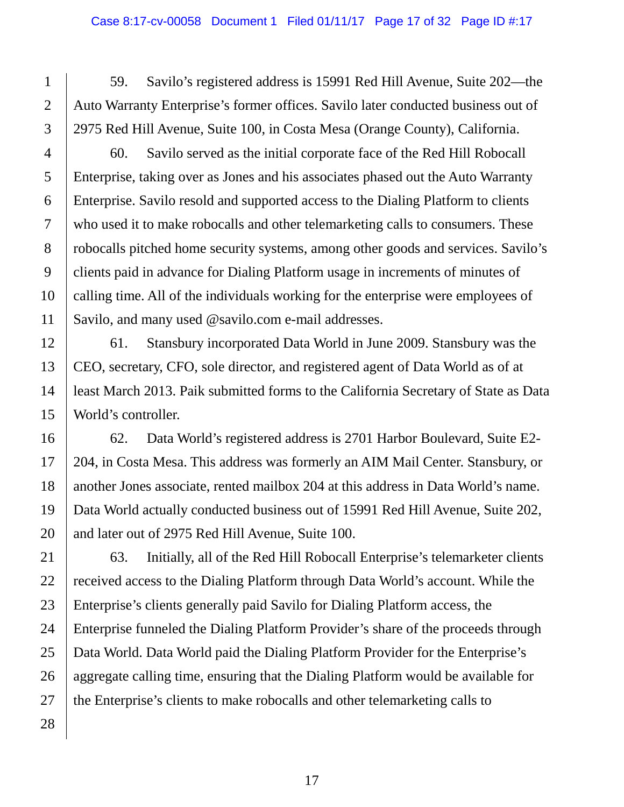59. Savilo's registered address is 15991 Red Hill Avenue, Suite 202—the Auto Warranty Enterprise's former offices. Savilo later conducted business out of 2975 Red Hill Avenue, Suite 100, in Costa Mesa (Orange County), California.

60. Savilo served as the initial corporate face of the Red Hill Robocall Enterprise, taking over as Jones and his associates phased out the Auto Warranty Enterprise. Savilo resold and supported access to the Dialing Platform to clients who used it to make robocalls and other telemarketing calls to consumers. These robocalls pitched home security systems, among other goods and services. Savilo's clients paid in advance for Dialing Platform usage in increments of minutes of calling time. All of the individuals working for the enterprise were employees of Savilo, and many used @savilo.com e-mail addresses.

61. Stansbury incorporated Data World in June 2009. Stansbury was the CEO, secretary, CFO, sole director, and registered agent of Data World as of at least March 2013. Paik submitted forms to the California Secretary of State as Data World's controller.

62. Data World's registered address is 2701 Harbor Boulevard, Suite E2- 204, in Costa Mesa. This address was formerly an AIM Mail Center. Stansbury, or another Jones associate, rented mailbox 204 at this address in Data World's name. Data World actually conducted business out of 15991 Red Hill Avenue, Suite 202, and later out of 2975 Red Hill Avenue, Suite 100.

63. Initially, all of the Red Hill Robocall Enterprise's telemarketer clients received access to the Dialing Platform through Data World's account. While the Enterprise's clients generally paid Savilo for Dialing Platform access, the Enterprise funneled the Dialing Platform Provider's share of the proceeds through Data World. Data World paid the Dialing Platform Provider for the Enterprise's aggregate calling time, ensuring that the Dialing Platform would be available for the Enterprise's clients to make robocalls and other telemarketing calls to

1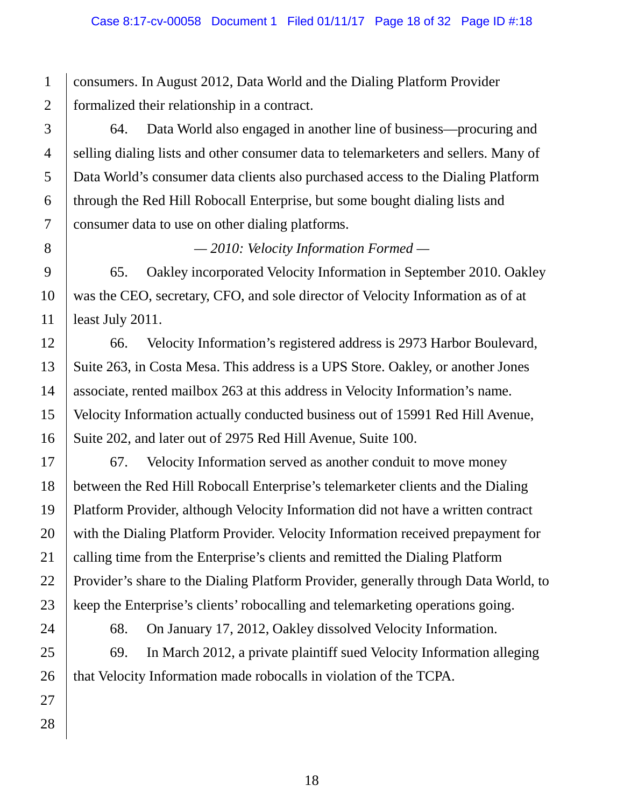consumers. In August 2012, Data World and the Dialing Platform Provider formalized their relationship in a contract.

64. Data World also engaged in another line of business—procuring and selling dialing lists and other consumer data to telemarketers and sellers. Many of Data World's consumer data clients also purchased access to the Dialing Platform through the Red Hill Robocall Enterprise, but some bought dialing lists and consumer data to use on other dialing platforms.

*— 2010: Velocity Information Formed —*

65. Oakley incorporated Velocity Information in September 2010. Oakley was the CEO, secretary, CFO, and sole director of Velocity Information as of at least July 2011.

66. Velocity Information's registered address is 2973 Harbor Boulevard, Suite 263, in Costa Mesa. This address is a UPS Store. Oakley, or another Jones associate, rented mailbox 263 at this address in Velocity Information's name. Velocity Information actually conducted business out of 15991 Red Hill Avenue, Suite 202, and later out of 2975 Red Hill Avenue, Suite 100.

67. Velocity Information served as another conduit to move money between the Red Hill Robocall Enterprise's telemarketer clients and the Dialing Platform Provider, although Velocity Information did not have a written contract with the Dialing Platform Provider. Velocity Information received prepayment for calling time from the Enterprise's clients and remitted the Dialing Platform Provider's share to the Dialing Platform Provider, generally through Data World, to keep the Enterprise's clients' robocalling and telemarketing operations going.

68. On January 17, 2012, Oakley dissolved Velocity Information.

69. In March 2012, a private plaintiff sued Velocity Information alleging that Velocity Information made robocalls in violation of the TCPA.

1

2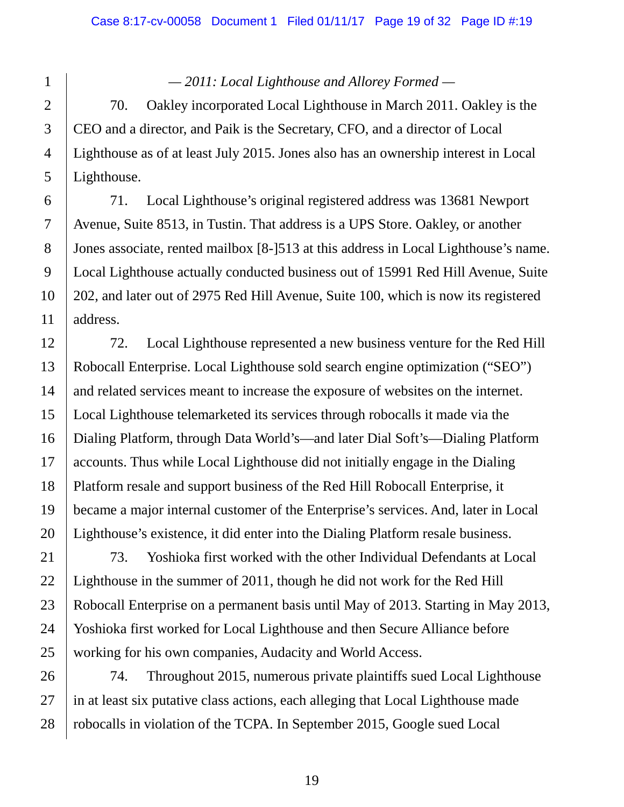*— 2011: Local Lighthouse and Allorey Formed —*

70. Oakley incorporated Local Lighthouse in March 2011. Oakley is the CEO and a director, and Paik is the Secretary, CFO, and a director of Local Lighthouse as of at least July 2015. Jones also has an ownership interest in Local Lighthouse.

71. Local Lighthouse's original registered address was 13681 Newport Avenue, Suite 8513, in Tustin. That address is a UPS Store. Oakley, or another Jones associate, rented mailbox [8-]513 at this address in Local Lighthouse's name. Local Lighthouse actually conducted business out of 15991 Red Hill Avenue, Suite 202, and later out of 2975 Red Hill Avenue, Suite 100, which is now its registered address.

72. Local Lighthouse represented a new business venture for the Red Hill Robocall Enterprise. Local Lighthouse sold search engine optimization ("SEO") and related services meant to increase the exposure of websites on the internet. Local Lighthouse telemarketed its services through robocalls it made via the Dialing Platform, through Data World's—and later Dial Soft's—Dialing Platform accounts. Thus while Local Lighthouse did not initially engage in the Dialing Platform resale and support business of the Red Hill Robocall Enterprise, it became a major internal customer of the Enterprise's services. And, later in Local Lighthouse's existence, it did enter into the Dialing Platform resale business.

73. Yoshioka first worked with the other Individual Defendants at Local Lighthouse in the summer of 2011, though he did not work for the Red Hill Robocall Enterprise on a permanent basis until May of 2013. Starting in May 2013, Yoshioka first worked for Local Lighthouse and then Secure Alliance before working for his own companies, Audacity and World Access.

74. Throughout 2015, numerous private plaintiffs sued Local Lighthouse in at least six putative class actions, each alleging that Local Lighthouse made robocalls in violation of the TCPA. In September 2015, Google sued Local

1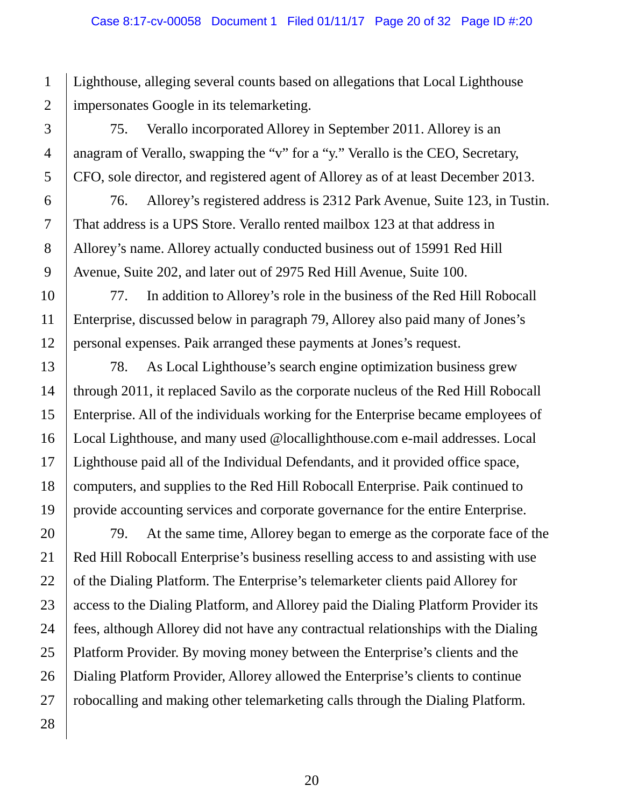Lighthouse, alleging several counts based on allegations that Local Lighthouse impersonates Google in its telemarketing.

75. Verallo incorporated Allorey in September 2011. Allorey is an anagram of Verallo, swapping the "v" for a "y." Verallo is the CEO, Secretary, CFO, sole director, and registered agent of Allorey as of at least December 2013.

76. Allorey's registered address is 2312 Park Avenue, Suite 123, in Tustin. That address is a UPS Store. Verallo rented mailbox 123 at that address in Allorey's name. Allorey actually conducted business out of 15991 Red Hill Avenue, Suite 202, and later out of 2975 Red Hill Avenue, Suite 100.

77. In addition to Allorey's role in the business of the Red Hill Robocall Enterprise, discussed below in paragraph 79, Allorey also paid many of Jones's personal expenses. Paik arranged these payments at Jones's request.

78. As Local Lighthouse's search engine optimization business grew through 2011, it replaced Savilo as the corporate nucleus of the Red Hill Robocall Enterprise. All of the individuals working for the Enterprise became employees of Local Lighthouse, and many used @locallighthouse.com e-mail addresses. Local Lighthouse paid all of the Individual Defendants, and it provided office space, computers, and supplies to the Red Hill Robocall Enterprise. Paik continued to provide accounting services and corporate governance for the entire Enterprise.

79. At the same time, Allorey began to emerge as the corporate face of the Red Hill Robocall Enterprise's business reselling access to and assisting with use of the Dialing Platform. The Enterprise's telemarketer clients paid Allorey for access to the Dialing Platform, and Allorey paid the Dialing Platform Provider its fees, although Allorey did not have any contractual relationships with the Dialing Platform Provider. By moving money between the Enterprise's clients and the Dialing Platform Provider, Allorey allowed the Enterprise's clients to continue robocalling and making other telemarketing calls through the Dialing Platform.

1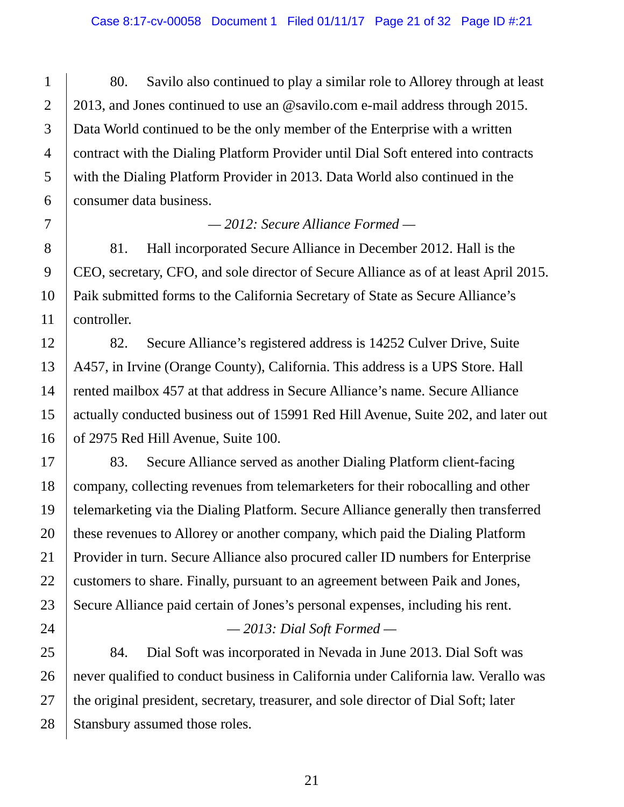80. Savilo also continued to play a similar role to Allorey through at least 2013, and Jones continued to use an @savilo.com e-mail address through 2015. Data World continued to be the only member of the Enterprise with a written contract with the Dialing Platform Provider until Dial Soft entered into contracts with the Dialing Platform Provider in 2013. Data World also continued in the consumer data business.

#### *— 2012: Secure Alliance Formed —*

81. Hall incorporated Secure Alliance in December 2012. Hall is the CEO, secretary, CFO, and sole director of Secure Alliance as of at least April 2015. Paik submitted forms to the California Secretary of State as Secure Alliance's controller.

82. Secure Alliance's registered address is 14252 Culver Drive, Suite A457, in Irvine (Orange County), California. This address is a UPS Store. Hall rented mailbox 457 at that address in Secure Alliance's name. Secure Alliance actually conducted business out of 15991 Red Hill Avenue, Suite 202, and later out of 2975 Red Hill Avenue, Suite 100.

83. Secure Alliance served as another Dialing Platform client-facing company, collecting revenues from telemarketers for their robocalling and other telemarketing via the Dialing Platform. Secure Alliance generally then transferred these revenues to Allorey or another company, which paid the Dialing Platform Provider in turn. Secure Alliance also procured caller ID numbers for Enterprise customers to share. Finally, pursuant to an agreement between Paik and Jones, Secure Alliance paid certain of Jones's personal expenses, including his rent.

## *— 2013: Dial Soft Formed —*

84. Dial Soft was incorporated in Nevada in June 2013. Dial Soft was never qualified to conduct business in California under California law. Verallo was the original president, secretary, treasurer, and sole director of Dial Soft; later Stansbury assumed those roles.

1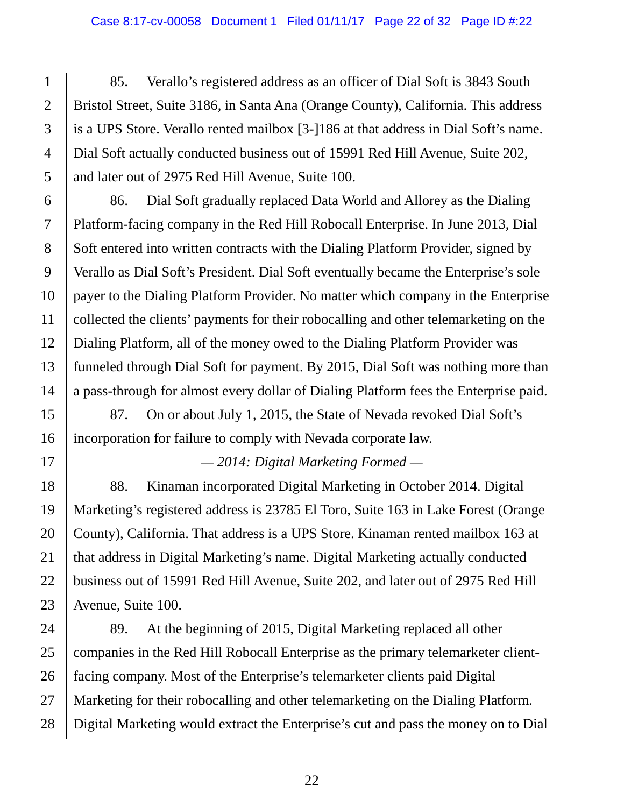85. Verallo's registered address as an officer of Dial Soft is 3843 South Bristol Street, Suite 3186, in Santa Ana (Orange County), California. This address is a UPS Store. Verallo rented mailbox [3-]186 at that address in Dial Soft's name. Dial Soft actually conducted business out of 15991 Red Hill Avenue, Suite 202, and later out of 2975 Red Hill Avenue, Suite 100.

86. Dial Soft gradually replaced Data World and Allorey as the Dialing Platform-facing company in the Red Hill Robocall Enterprise. In June 2013, Dial Soft entered into written contracts with the Dialing Platform Provider, signed by Verallo as Dial Soft's President. Dial Soft eventually became the Enterprise's sole payer to the Dialing Platform Provider. No matter which company in the Enterprise collected the clients' payments for their robocalling and other telemarketing on the Dialing Platform, all of the money owed to the Dialing Platform Provider was funneled through Dial Soft for payment. By 2015, Dial Soft was nothing more than a pass-through for almost every dollar of Dialing Platform fees the Enterprise paid.

87. On or about July 1, 2015, the State of Nevada revoked Dial Soft's incorporation for failure to comply with Nevada corporate law.

*— 2014: Digital Marketing Formed —*

88. Kinaman incorporated Digital Marketing in October 2014. Digital Marketing's registered address is 23785 El Toro, Suite 163 in Lake Forest (Orange County), California. That address is a UPS Store. Kinaman rented mailbox 163 at that address in Digital Marketing's name. Digital Marketing actually conducted business out of 15991 Red Hill Avenue, Suite 202, and later out of 2975 Red Hill Avenue, Suite 100.

28 89. At the beginning of 2015, Digital Marketing replaced all other companies in the Red Hill Robocall Enterprise as the primary telemarketer clientfacing company. Most of the Enterprise's telemarketer clients paid Digital Marketing for their robocalling and other telemarketing on the Dialing Platform. Digital Marketing would extract the Enterprise's cut and pass the money on to Dial

1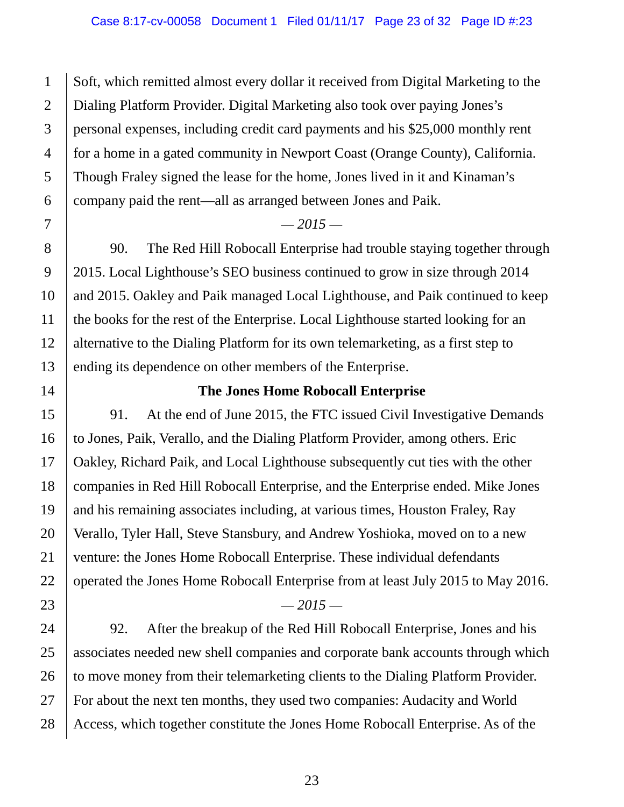Soft, which remitted almost every dollar it received from Digital Marketing to the Dialing Platform Provider. Digital Marketing also took over paying Jones's personal expenses, including credit card payments and his \$25,000 monthly rent for a home in a gated community in Newport Coast (Orange County), California. Though Fraley signed the lease for the home, Jones lived in it and Kinaman's company paid the rent—all as arranged between Jones and Paik.

#### *— 2015 —*

90. The Red Hill Robocall Enterprise had trouble staying together through 2015. Local Lighthouse's SEO business continued to grow in size through 2014 and 2015. Oakley and Paik managed Local Lighthouse, and Paik continued to keep the books for the rest of the Enterprise. Local Lighthouse started looking for an alternative to the Dialing Platform for its own telemarketing, as a first step to ending its dependence on other members of the Enterprise.

#### **The Jones Home Robocall Enterprise**

91. At the end of June 2015, the FTC issued Civil Investigative Demands to Jones, Paik, Verallo, and the Dialing Platform Provider, among others. Eric Oakley, Richard Paik, and Local Lighthouse subsequently cut ties with the other companies in Red Hill Robocall Enterprise, and the Enterprise ended. Mike Jones and his remaining associates including, at various times, Houston Fraley, Ray Verallo, Tyler Hall, Steve Stansbury, and Andrew Yoshioka, moved on to a new venture: the Jones Home Robocall Enterprise. These individual defendants operated the Jones Home Robocall Enterprise from at least July 2015 to May 2016. *— 2015 —*

92. After the breakup of the Red Hill Robocall Enterprise, Jones and his associates needed new shell companies and corporate bank accounts through which to move money from their telemarketing clients to the Dialing Platform Provider. For about the next ten months, they used two companies: Audacity and World Access, which together constitute the Jones Home Robocall Enterprise. As of the

1

2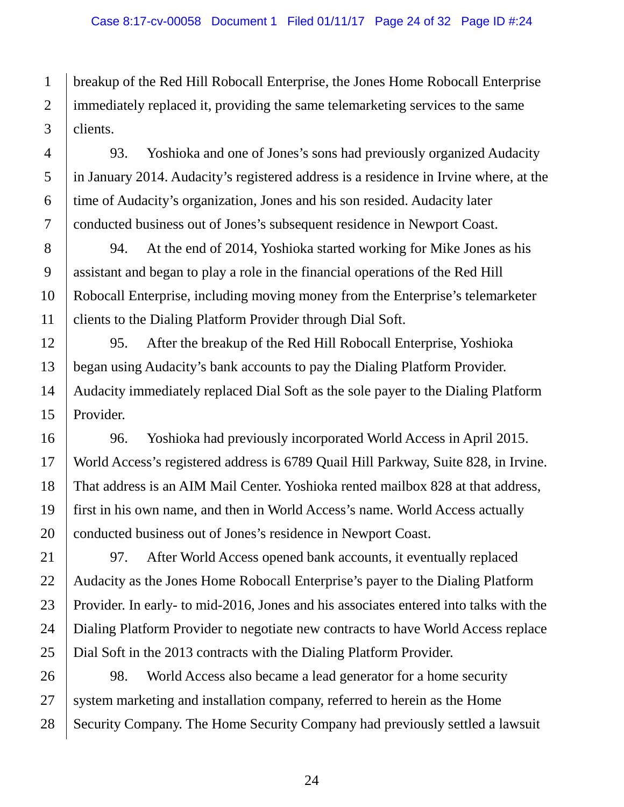1 breakup of the Red Hill Robocall Enterprise, the Jones Home Robocall Enterprise immediately replaced it, providing the same telemarketing services to the same clients.

93. Yoshioka and one of Jones's sons had previously organized Audacity in January 2014. Audacity's registered address is a residence in Irvine where, at the time of Audacity's organization, Jones and his son resided. Audacity later conducted business out of Jones's subsequent residence in Newport Coast.

94. At the end of 2014, Yoshioka started working for Mike Jones as his assistant and began to play a role in the financial operations of the Red Hill Robocall Enterprise, including moving money from the Enterprise's telemarketer clients to the Dialing Platform Provider through Dial Soft.

95. After the breakup of the Red Hill Robocall Enterprise, Yoshioka began using Audacity's bank accounts to pay the Dialing Platform Provider. Audacity immediately replaced Dial Soft as the sole payer to the Dialing Platform Provider.

96. Yoshioka had previously incorporated World Access in April 2015. World Access's registered address is 6789 Quail Hill Parkway, Suite 828, in Irvine. That address is an AIM Mail Center. Yoshioka rented mailbox 828 at that address, first in his own name, and then in World Access's name. World Access actually conducted business out of Jones's residence in Newport Coast.

97. After World Access opened bank accounts, it eventually replaced Audacity as the Jones Home Robocall Enterprise's payer to the Dialing Platform Provider. In early- to mid-2016, Jones and his associates entered into talks with the Dialing Platform Provider to negotiate new contracts to have World Access replace Dial Soft in the 2013 contracts with the Dialing Platform Provider.

28 98. World Access also became a lead generator for a home security system marketing and installation company, referred to herein as the Home Security Company. The Home Security Company had previously settled a lawsuit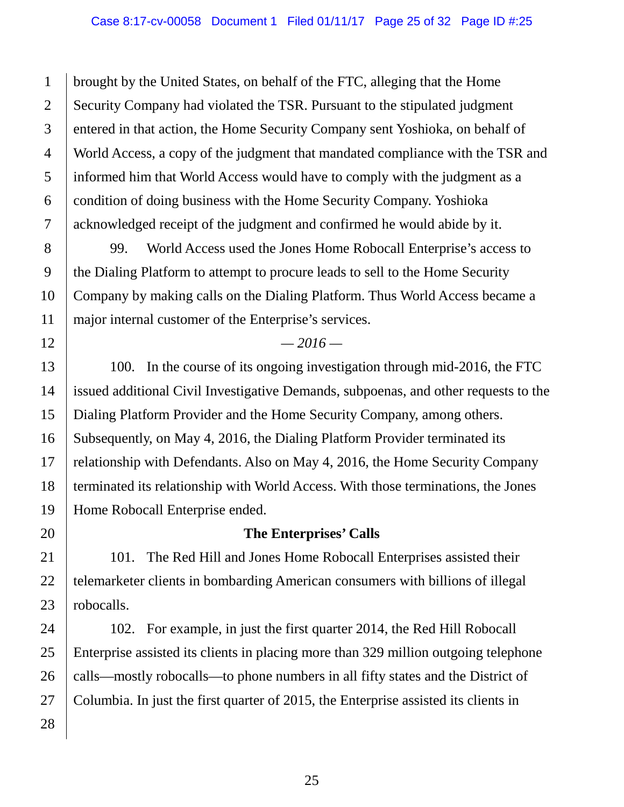1 brought by the United States, on behalf of the FTC, alleging that the Home Security Company had violated the TSR. Pursuant to the stipulated judgment entered in that action, the Home Security Company sent Yoshioka, on behalf of World Access, a copy of the judgment that mandated compliance with the TSR and informed him that World Access would have to comply with the judgment as a condition of doing business with the Home Security Company. Yoshioka acknowledged receipt of the judgment and confirmed he would abide by it.

99. World Access used the Jones Home Robocall Enterprise's access to the Dialing Platform to attempt to procure leads to sell to the Home Security Company by making calls on the Dialing Platform. Thus World Access became a major internal customer of the Enterprise's services.

#### *— 2016 —*

100. In the course of its ongoing investigation through mid-2016, the FTC issued additional Civil Investigative Demands, subpoenas, and other requests to the Dialing Platform Provider and the Home Security Company, among others. Subsequently, on May 4, 2016, the Dialing Platform Provider terminated its relationship with Defendants. Also on May 4, 2016, the Home Security Company terminated its relationship with World Access. With those terminations, the Jones Home Robocall Enterprise ended.

#### **The Enterprises' Calls**

101. The Red Hill and Jones Home Robocall Enterprises assisted their telemarketer clients in bombarding American consumers with billions of illegal robocalls.

102. For example, in just the first quarter 2014, the Red Hill Robocall Enterprise assisted its clients in placing more than 329 million outgoing telephone calls—mostly robocalls—to phone numbers in all fifty states and the District of Columbia. In just the first quarter of 2015, the Enterprise assisted its clients in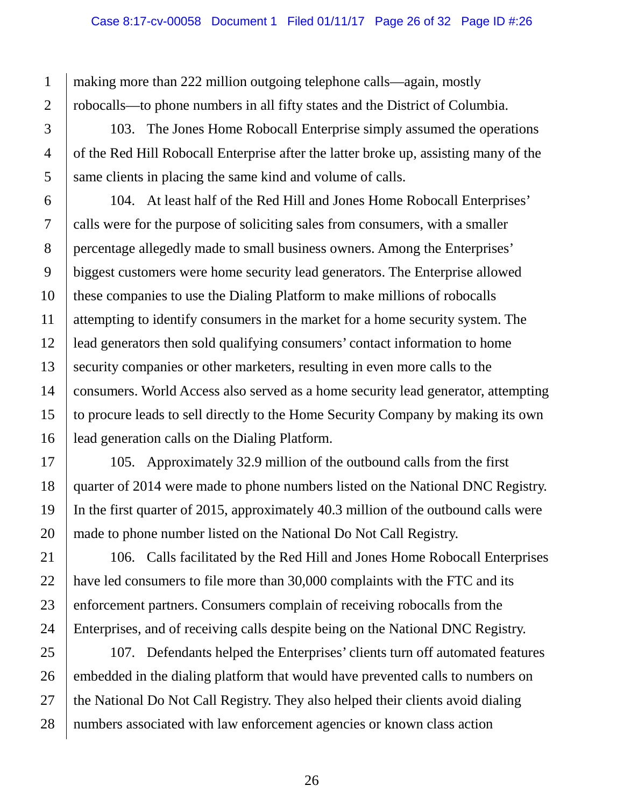making more than 222 million outgoing telephone calls—again, mostly robocalls—to phone numbers in all fifty states and the District of Columbia.

103. The Jones Home Robocall Enterprise simply assumed the operations of the Red Hill Robocall Enterprise after the latter broke up, assisting many of the same clients in placing the same kind and volume of calls.

104. At least half of the Red Hill and Jones Home Robocall Enterprises' calls were for the purpose of soliciting sales from consumers, with a smaller percentage allegedly made to small business owners. Among the Enterprises' biggest customers were home security lead generators. The Enterprise allowed these companies to use the Dialing Platform to make millions of robocalls attempting to identify consumers in the market for a home security system. The lead generators then sold qualifying consumers' contact information to home security companies or other marketers, resulting in even more calls to the consumers. World Access also served as a home security lead generator, attempting to procure leads to sell directly to the Home Security Company by making its own lead generation calls on the Dialing Platform.

105. Approximately 32.9 million of the outbound calls from the first quarter of 2014 were made to phone numbers listed on the National DNC Registry. In the first quarter of 2015, approximately 40.3 million of the outbound calls were made to phone number listed on the National Do Not Call Registry.

106. Calls facilitated by the Red Hill and Jones Home Robocall Enterprises have led consumers to file more than 30,000 complaints with the FTC and its enforcement partners. Consumers complain of receiving robocalls from the Enterprises, and of receiving calls despite being on the National DNC Registry.

107. Defendants helped the Enterprises' clients turn off automated features embedded in the dialing platform that would have prevented calls to numbers on the National Do Not Call Registry. They also helped their clients avoid dialing numbers associated with law enforcement agencies or known class action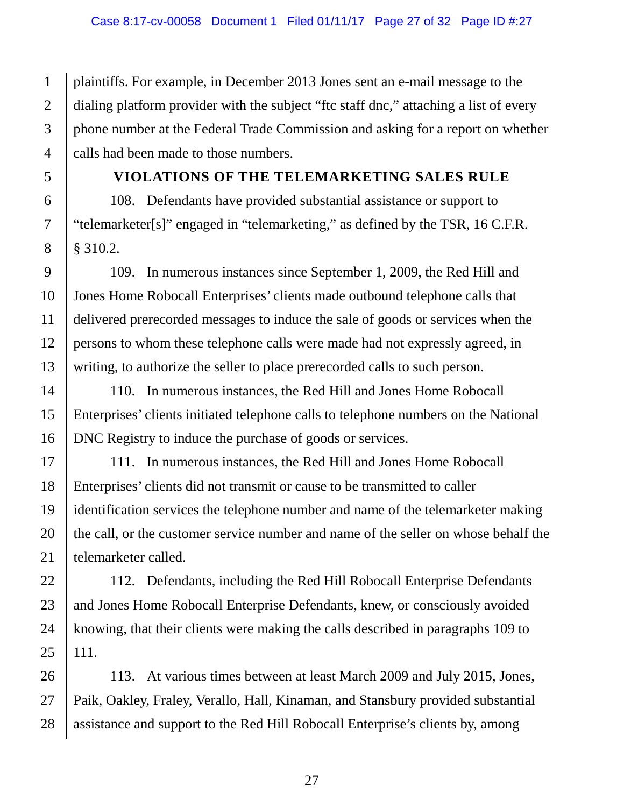plaintiffs. For example, in December 2013 Jones sent an e-mail message to the dialing platform provider with the subject "ftc staff dnc," attaching a list of every phone number at the Federal Trade Commission and asking for a report on whether calls had been made to those numbers.

## **VIOLATIONS OF THE TELEMARKETING SALES RULE**

108. Defendants have provided substantial assistance or support to "telemarketer[s]" engaged in "telemarketing," as defined by the TSR, 16 C.F.R. § 310.2.

109. In numerous instances since September 1, 2009, the Red Hill and Jones Home Robocall Enterprises' clients made outbound telephone calls that delivered prerecorded messages to induce the sale of goods or services when the persons to whom these telephone calls were made had not expressly agreed, in writing, to authorize the seller to place prerecorded calls to such person.

110. In numerous instances, the Red Hill and Jones Home Robocall Enterprises' clients initiated telephone calls to telephone numbers on the National DNC Registry to induce the purchase of goods or services.

111. In numerous instances, the Red Hill and Jones Home Robocall Enterprises' clients did not transmit or cause to be transmitted to caller identification services the telephone number and name of the telemarketer making the call, or the customer service number and name of the seller on whose behalf the telemarketer called.

112. Defendants, including the Red Hill Robocall Enterprise Defendants and Jones Home Robocall Enterprise Defendants, knew, or consciously avoided knowing, that their clients were making the calls described in paragraphs 109 to 111.

113. At various times between at least March 2009 and July 2015, Jones, Paik, Oakley, Fraley, Verallo, Hall, Kinaman, and Stansbury provided substantial assistance and support to the Red Hill Robocall Enterprise's clients by, among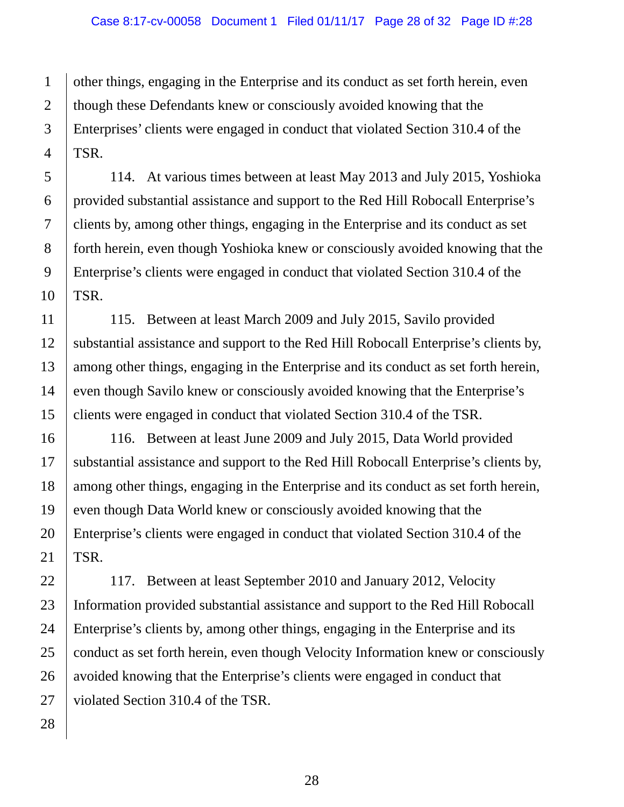2 other things, engaging in the Enterprise and its conduct as set forth herein, even though these Defendants knew or consciously avoided knowing that the Enterprises' clients were engaged in conduct that violated Section 310.4 of the TSR.

114. At various times between at least May 2013 and July 2015, Yoshioka provided substantial assistance and support to the Red Hill Robocall Enterprise's clients by, among other things, engaging in the Enterprise and its conduct as set forth herein, even though Yoshioka knew or consciously avoided knowing that the Enterprise's clients were engaged in conduct that violated Section 310.4 of the TSR.

115. Between at least March 2009 and July 2015, Savilo provided substantial assistance and support to the Red Hill Robocall Enterprise's clients by, among other things, engaging in the Enterprise and its conduct as set forth herein, even though Savilo knew or consciously avoided knowing that the Enterprise's clients were engaged in conduct that violated Section 310.4 of the TSR.

116. Between at least June 2009 and July 2015, Data World provided substantial assistance and support to the Red Hill Robocall Enterprise's clients by, among other things, engaging in the Enterprise and its conduct as set forth herein, even though Data World knew or consciously avoided knowing that the Enterprise's clients were engaged in conduct that violated Section 310.4 of the TSR.

117. Between at least September 2010 and January 2012, Velocity Information provided substantial assistance and support to the Red Hill Robocall Enterprise's clients by, among other things, engaging in the Enterprise and its conduct as set forth herein, even though Velocity Information knew or consciously avoided knowing that the Enterprise's clients were engaged in conduct that violated Section 310.4 of the TSR.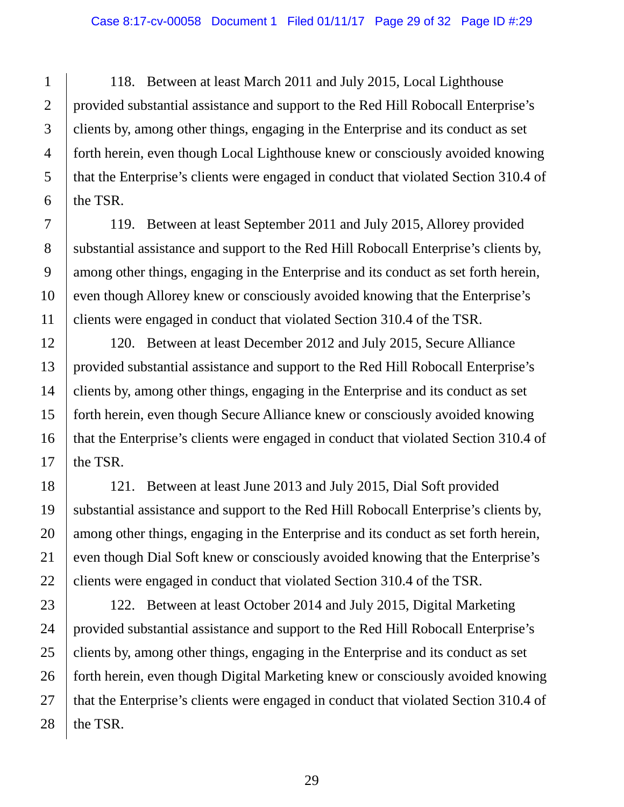118. Between at least March 2011 and July 2015, Local Lighthouse provided substantial assistance and support to the Red Hill Robocall Enterprise's clients by, among other things, engaging in the Enterprise and its conduct as set forth herein, even though Local Lighthouse knew or consciously avoided knowing that the Enterprise's clients were engaged in conduct that violated Section 310.4 of the TSR.

119. Between at least September 2011 and July 2015, Allorey provided substantial assistance and support to the Red Hill Robocall Enterprise's clients by, among other things, engaging in the Enterprise and its conduct as set forth herein, even though Allorey knew or consciously avoided knowing that the Enterprise's clients were engaged in conduct that violated Section 310.4 of the TSR.

120. Between at least December 2012 and July 2015, Secure Alliance provided substantial assistance and support to the Red Hill Robocall Enterprise's clients by, among other things, engaging in the Enterprise and its conduct as set forth herein, even though Secure Alliance knew or consciously avoided knowing that the Enterprise's clients were engaged in conduct that violated Section 310.4 of the TSR.

121. Between at least June 2013 and July 2015, Dial Soft provided substantial assistance and support to the Red Hill Robocall Enterprise's clients by, among other things, engaging in the Enterprise and its conduct as set forth herein, even though Dial Soft knew or consciously avoided knowing that the Enterprise's clients were engaged in conduct that violated Section 310.4 of the TSR.

122. Between at least October 2014 and July 2015, Digital Marketing provided substantial assistance and support to the Red Hill Robocall Enterprise's clients by, among other things, engaging in the Enterprise and its conduct as set forth herein, even though Digital Marketing knew or consciously avoided knowing that the Enterprise's clients were engaged in conduct that violated Section 310.4 of the TSR.

1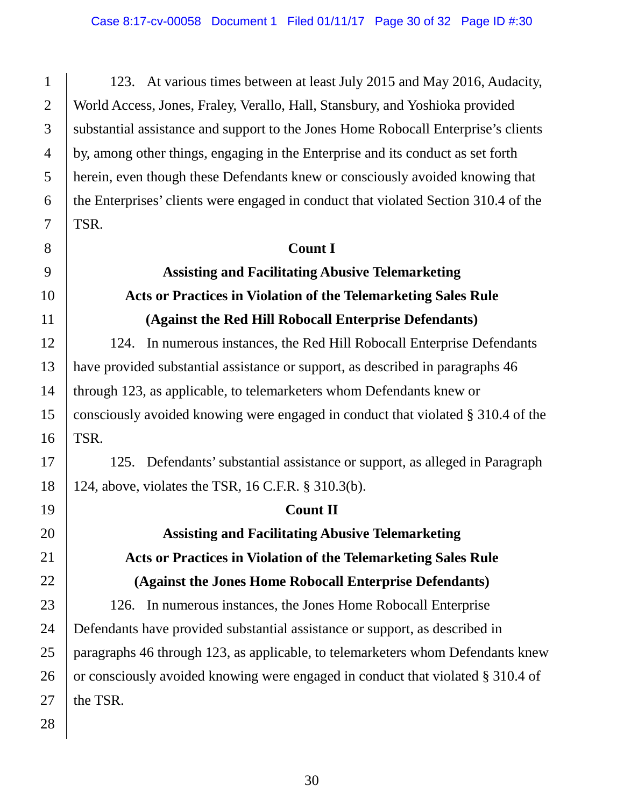123. At various times between at least July 2015 and May 2016, Audacity, World Access, Jones, Fraley, Verallo, Hall, Stansbury, and Yoshioka provided substantial assistance and support to the Jones Home Robocall Enterprise's clients by, among other things, engaging in the Enterprise and its conduct as set forth herein, even though these Defendants knew or consciously avoided knowing that the Enterprises' clients were engaged in conduct that violated Section 310.4 of the TSR.

# **Count I Assisting and Facilitating Abusive Telemarketing Acts or Practices in Violation of the Telemarketing Sales Rule (Against the Red Hill Robocall Enterprise Defendants)**

124. In numerous instances, the Red Hill Robocall Enterprise Defendants have provided substantial assistance or support, as described in paragraphs 46 through 123, as applicable, to telemarketers whom Defendants knew or consciously avoided knowing were engaged in conduct that violated § 310.4 of the TSR.

125. Defendants' substantial assistance or support, as alleged in Paragraph 124, above, violates the TSR, 16 C.F.R. § 310.3(b).

# **Count II**

# **Assisting and Facilitating Abusive Telemarketing Acts or Practices in Violation of the Telemarketing Sales Rule (Against the Jones Home Robocall Enterprise Defendants)**

126. In numerous instances, the Jones Home Robocall Enterprise Defendants have provided substantial assistance or support, as described in paragraphs 46 through 123, as applicable, to telemarketers whom Defendants knew or consciously avoided knowing were engaged in conduct that violated § 310.4 of the TSR.

1

2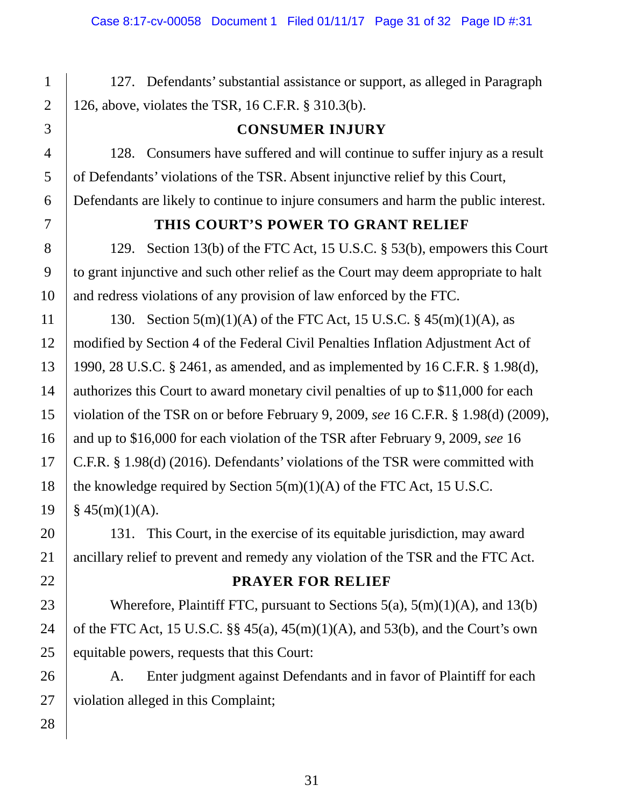127. Defendants' substantial assistance or support, as alleged in Paragraph 126, above, violates the TSR, 16 C.F.R. § 310.3(b).

**CONSUMER INJURY**

of Defendants' violations of the TSR. Absent injunctive relief by this Court,

128. Consumers have suffered and will continue to suffer injury as a result

# 3 4 5 6 7 8

1

2

#### **THIS COURT'S POWER TO GRANT RELIEF**

Defendants are likely to continue to injure consumers and harm the public interest.

129. Section 13(b) of the FTC Act, 15 U.S.C. § 53(b), empowers this Court to grant injunctive and such other relief as the Court may deem appropriate to halt and redress violations of any provision of law enforced by the FTC.

130. Section  $5(m)(1)(A)$  of the FTC Act, 15 U.S.C. §  $45(m)(1)(A)$ , as modified by Section 4 of the Federal Civil Penalties Inflation Adjustment Act of 1990, 28 U.S.C. § 2461, as amended, and as implemented by 16 C.F.R. § 1.98(d), authorizes this Court to award monetary civil penalties of up to \$11,000 for each violation of the TSR on or before February 9, 2009, *see* 16 C.F.R. § 1.98(d) (2009), and up to \$16,000 for each violation of the TSR after February 9, 2009, *see* 16 C.F.R. § 1.98(d) (2016). Defendants' violations of the TSR were committed with the knowledge required by Section  $5(m)(1)(A)$  of the FTC Act, 15 U.S.C.  $§ 45(m)(1)(A).$ 

131. This Court, in the exercise of its equitable jurisdiction, may award ancillary relief to prevent and remedy any violation of the TSR and the FTC Act.

#### **PRAYER FOR RELIEF**

Wherefore, Plaintiff FTC, pursuant to Sections  $5(a)$ ,  $5(m)(1)(A)$ , and  $13(b)$ of the FTC Act, 15 U.S.C.  $\S$  45(a), 45(m)(1)(A), and 53(b), and the Court's own equitable powers, requests that this Court:

A. Enter judgment against Defendants and in favor of Plaintiff for each violation alleged in this Complaint;